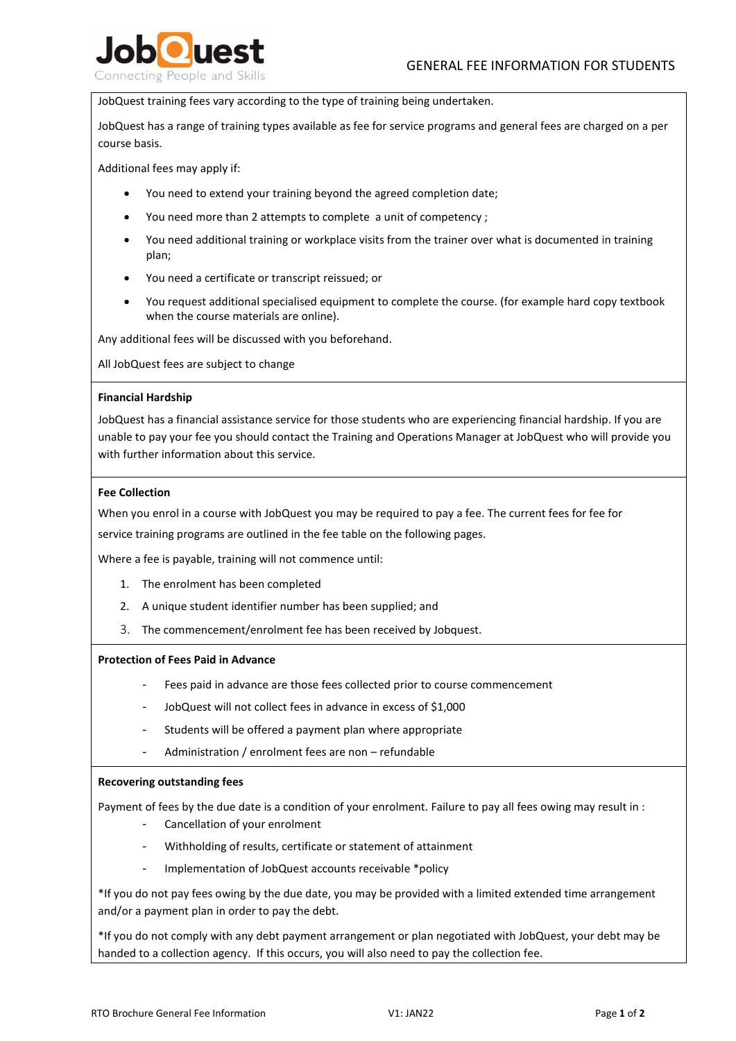

JobQuest training fees vary according to the type of training being undertaken.

JobQuest has a range of training types available as fee for service programs and general fees are charged on a per course basis.

Additional fees may apply if:

- You need to extend your training beyond the agreed completion date;
- You need more than 2 attempts to complete a unit of competency ;
- You need additional training or workplace visits from the trainer over what is documented in training plan;
- You need a certificate or transcript reissued; or
- You request additional specialised equipment to complete the course. (for example hard copy textbook when the course materials are online).

Any additional fees will be discussed with you beforehand.

All JobQuest fees are subject to change

## **Financial Hardship**

JobQuest has a financial assistance service for those students who are experiencing financial hardship. If you are unable to pay your fee you should contact the Training and Operations Manager at JobQuest who will provide you with further information about this service.

## **Fee Collection**

When you enrol in a course with JobQuest you may be required to pay a fee. The current fees for fee for

service training programs are outlined in the fee table on the following pages.

Where a fee is payable, training will not commence until:

- 1. The enrolment has been completed
- 2. A unique student identifier number has been supplied; and
- 3. The commencement/enrolment fee has been received by Jobquest.

#### **Protection of Fees Paid in Advance**

- Fees paid in advance are those fees collected prior to course commencement
- JobQuest will not collect fees in advance in excess of \$1,000
- Students will be offered a payment plan where appropriate
- Administration / enrolment fees are non refundable

#### **Recovering outstanding fees**

Payment of fees by the due date is a condition of your enrolment. Failure to pay all fees owing may result in :

- Cancellation of your enrolment
- Withholding of results, certificate or statement of attainment
- Implementation of JobQuest accounts receivable \*policy

\*If you do not pay fees owing by the due date, you may be provided with a limited extended time arrangement and/or a payment plan in order to pay the debt.

\*If you do not comply with any debt payment arrangement or plan negotiated with JobQuest, your debt may be handed to a collection agency. If this occurs, you will also need to pay the collection fee.